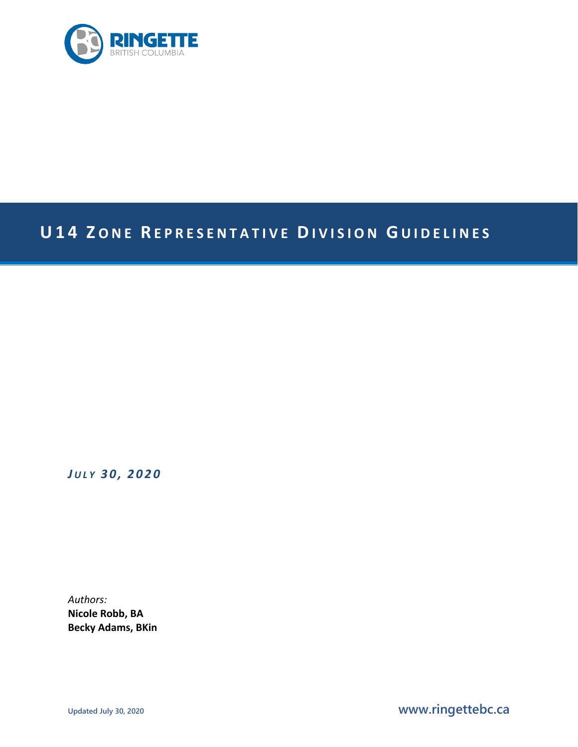

# **U14 Z ONE R EPRESENTATIVE DIVISION G UIDELINES**

*J ULY 30, 2020*

*Authors:* **Nicole Robb, BA Becky Adams, BKin**

**Updated July 30, 2020 www.ringettebc.ca**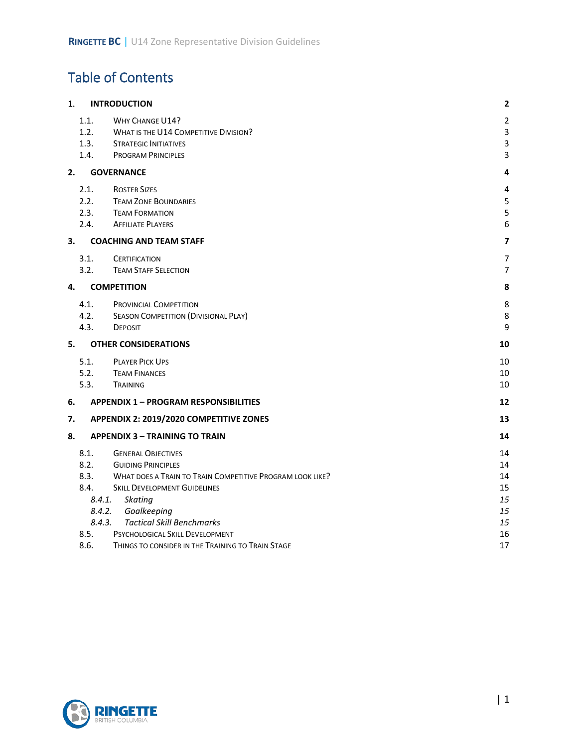# Table of Contents

| 1. |                                | <b>INTRODUCTION</b>                                                    | $\overline{\mathbf{2}}$      |
|----|--------------------------------|------------------------------------------------------------------------|------------------------------|
|    | 1.1.<br>1.2.                   | <b>WHY CHANGE U14?</b><br><b>WHAT IS THE U14 COMPETITIVE DIVISION?</b> | $\overline{\mathbf{c}}$<br>3 |
|    | 1.3.                           | <b>STRATEGIC INITIATIVES</b>                                           | 3                            |
|    | 1.4.                           | <b>PROGRAM PRINCIPLES</b>                                              | 3                            |
| 2. |                                | <b>GOVERNANCE</b>                                                      | 4                            |
|    | 2.1.                           | <b>ROSTER SIZES</b>                                                    | 4                            |
|    | 2.2.                           | <b>TEAM ZONE BOUNDARIES</b>                                            | 5                            |
|    | 2.3.                           | <b>TEAM FORMATION</b>                                                  | 5                            |
|    | 2.4.                           | <b>AFFILIATE PLAYERS</b>                                               | 6                            |
| З. | <b>COACHING AND TEAM STAFF</b> |                                                                        | $\overline{\mathbf{z}}$      |
|    | 3.1.                           | <b>CERTIFICATION</b>                                                   | 7                            |
|    | 3.2.                           | <b>TEAM STAFF SELECTION</b>                                            | 7                            |
| 4. | <b>COMPETITION</b>             | 8                                                                      |                              |
|    | 4.1.                           | <b>PROVINCIAL COMPETITION</b>                                          | 8                            |
|    | 4.2.                           | <b>SEASON COMPETITION (DIVISIONAL PLAY)</b>                            | 8                            |
|    | 4.3.                           | <b>DEPOSIT</b>                                                         | 9                            |
| 5. | <b>OTHER CONSIDERATIONS</b>    | 10                                                                     |                              |
|    | 5.1.                           | <b>PLAYER PICK UPS</b>                                                 | 10                           |
|    | 5.2.                           | <b>TEAM FINANCES</b>                                                   | 10                           |
|    | 5.3.                           | TRAINING                                                               | 10                           |
| 6. |                                | <b>APPENDIX 1 - PROGRAM RESPONSIBILITIES</b>                           | 12                           |
| 7. |                                | APPENDIX 2: 2019/2020 COMPETITIVE ZONES                                | 13                           |
| 8. |                                | <b>APPENDIX 3 - TRAINING TO TRAIN</b>                                  | 14                           |
|    | 8.1.                           | <b>GENERAL OBJECTIVES</b>                                              | 14                           |
|    | 8.2.                           | <b>GUIDING PRINCIPLES</b>                                              | 14                           |
|    | 8.3.                           | WHAT DOES A TRAIN TO TRAIN COMPETITIVE PROGRAM LOOK LIKE?              | 14                           |
|    | 8.4.                           | <b>SKILL DEVELOPMENT GUIDELINES</b>                                    | 15                           |
|    | 8.4.1.                         | <b>Skating</b>                                                         | 15                           |
|    | 8.4.2.                         | Goalkeeping                                                            | 15                           |
|    | 8.4.3.                         | <b>Tactical Skill Benchmarks</b>                                       | 15                           |
|    | 8.5.                           | PSYCHOLOGICAL SKILL DEVELOPMENT                                        | 16                           |
|    | 8.6.                           | THINGS TO CONSIDER IN THE TRAINING TO TRAIN STAGE                      | 17                           |

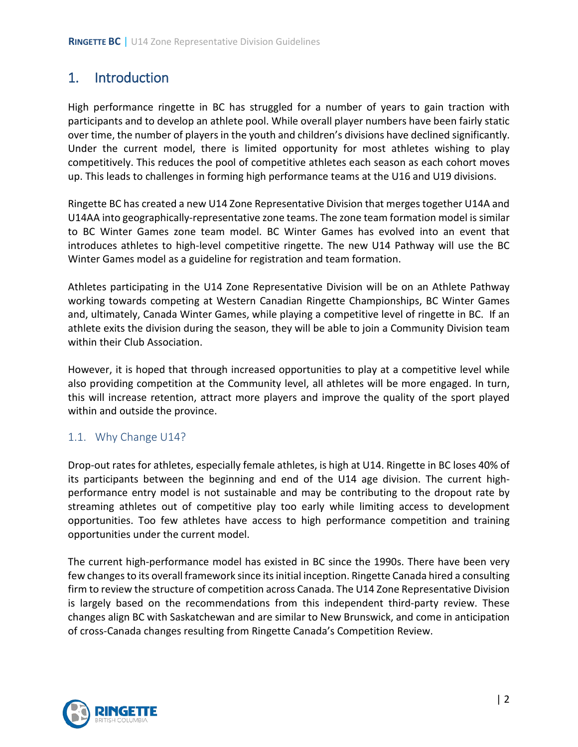## 1. Introduction

High performance ringette in BC has struggled for a number of years to gain traction with participants and to develop an athlete pool. While overall player numbers have been fairly static over time, the number of players in the youth and children's divisions have declined significantly. Under the current model, there is limited opportunity for most athletes wishing to play competitively. This reduces the pool of competitive athletes each season as each cohort moves up. This leads to challenges in forming high performance teams at the U16 and U19 divisions.

Ringette BC has created a new U14 Zone Representative Division that merges together U14A and U14AA into geographically-representative zone teams. The zone team formation model is similar to BC Winter Games zone team model. BC Winter Games has evolved into an event that introduces athletes to high-level competitive ringette. The new U14 Pathway will use the BC Winter Games model as a guideline for registration and team formation.

Athletes participating in the U14 Zone Representative Division will be on an Athlete Pathway working towards competing at Western Canadian Ringette Championships, BC Winter Games and, ultimately, Canada Winter Games, while playing a competitive level of ringette in BC. If an athlete exits the division during the season, they will be able to join a Community Division team within their Club Association.

However, it is hoped that through increased opportunities to play at a competitive level while also providing competition at the Community level, all athletes will be more engaged. In turn, this will increase retention, attract more players and improve the quality of the sport played within and outside the province.

## 1.1. Why Change U14?

Drop-out rates for athletes, especially female athletes, is high at U14. Ringette in BC loses 40% of its participants between the beginning and end of the U14 age division. The current highperformance entry model is not sustainable and may be contributing to the dropout rate by streaming athletes out of competitive play too early while limiting access to development opportunities. Too few athletes have access to high performance competition and training opportunities under the current model.

The current high-performance model has existed in BC since the 1990s. There have been very few changes to its overall framework since its initial inception. Ringette Canada hired a consulting firm to review the structure of competition across Canada. The U14 Zone Representative Division is largely based on the recommendations from this independent third-party review. These changes align BC with Saskatchewan and are similar to New Brunswick, and come in anticipation of cross-Canada changes resulting from Ringette Canada's Competition Review.

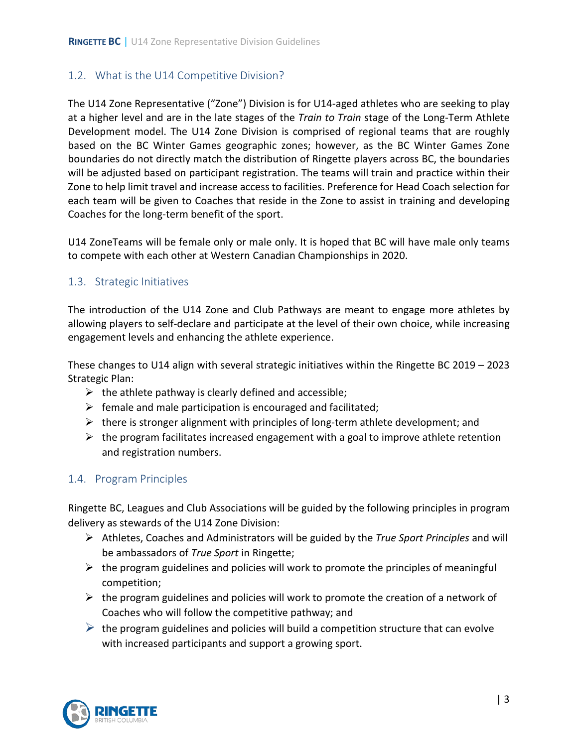## 1.2. What is the U14 Competitive Division?

The U14 Zone Representative ("Zone") Division is for U14-aged athletes who are seeking to play at a higher level and are in the late stages of the *Train to Train* stage of the Long-Term Athlete Development model. The U14 Zone Division is comprised of regional teams that are roughly based on the BC Winter Games geographic zones; however, as the BC Winter Games Zone boundaries do not directly match the distribution of Ringette players across BC, the boundaries will be adjusted based on participant registration. The teams will train and practice within their Zone to help limit travel and increase access to facilities. Preference for Head Coach selection for each team will be given to Coaches that reside in the Zone to assist in training and developing Coaches for the long-term benefit of the sport.

U14 ZoneTeams will be female only or male only. It is hoped that BC will have male only teams to compete with each other at Western Canadian Championships in 2020.

#### 1.3. Strategic Initiatives

The introduction of the U14 Zone and Club Pathways are meant to engage more athletes by allowing players to self-declare and participate at the level of their own choice, while increasing engagement levels and enhancing the athlete experience.

These changes to U14 align with several strategic initiatives within the Ringette BC 2019 – 2023 Strategic Plan:

- $\triangleright$  the athlete pathway is clearly defined and accessible;
- $\triangleright$  female and male participation is encouraged and facilitated;
- $\triangleright$  there is stronger alignment with principles of long-term athlete development; and
- $\triangleright$  the program facilitates increased engagement with a goal to improve athlete retention and registration numbers.

## 1.4. Program Principles

Ringette BC, Leagues and Club Associations will be guided by the following principles in program delivery as stewards of the U14 Zone Division:

- Athletes, Coaches and Administrators will be guided by the *True Sport Principles* and will be ambassadors of *True Sport* in Ringette;
- $\triangleright$  the program guidelines and policies will work to promote the principles of meaningful competition;
- $\triangleright$  the program guidelines and policies will work to promote the creation of a network of Coaches who will follow the competitive pathway; and
- $\triangleright$  the program guidelines and policies will build a competition structure that can evolve with increased participants and support a growing sport.

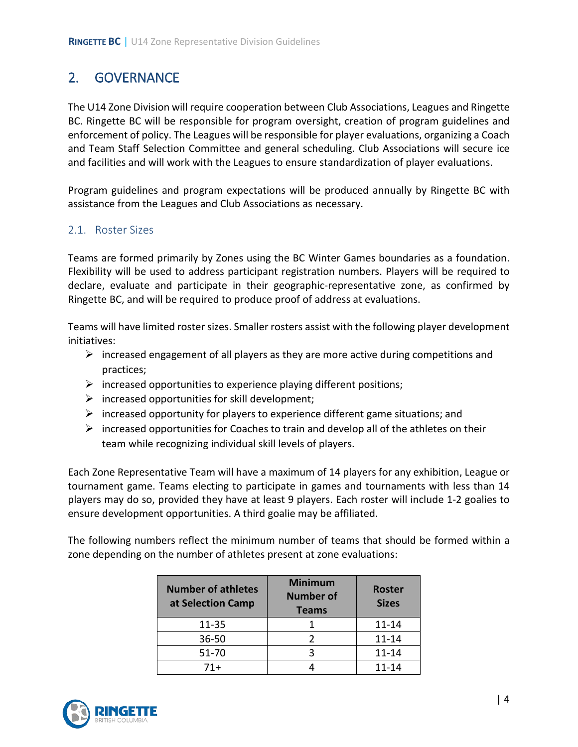## 2. GOVERNANCE

The U14 Zone Division will require cooperation between Club Associations, Leagues and Ringette BC. Ringette BC will be responsible for program oversight, creation of program guidelines and enforcement of policy. The Leagues will be responsible for player evaluations, organizing a Coach and Team Staff Selection Committee and general scheduling. Club Associations will secure ice and facilities and will work with the Leagues to ensure standardization of player evaluations.

Program guidelines and program expectations will be produced annually by Ringette BC with assistance from the Leagues and Club Associations as necessary.

#### 2.1. Roster Sizes

Teams are formed primarily by Zones using the BC Winter Games boundaries as a foundation. Flexibility will be used to address participant registration numbers. Players will be required to declare, evaluate and participate in their geographic-representative zone, as confirmed by Ringette BC, and will be required to produce proof of address at evaluations.

Teams will have limited roster sizes. Smaller rosters assist with the following player development initiatives:

- $\triangleright$  increased engagement of all players as they are more active during competitions and practices;
- $\triangleright$  increased opportunities to experience playing different positions;
- $\triangleright$  increased opportunities for skill development;
- $\triangleright$  increased opportunity for players to experience different game situations; and
- $\triangleright$  increased opportunities for Coaches to train and develop all of the athletes on their team while recognizing individual skill levels of players.

Each Zone Representative Team will have a maximum of 14 players for any exhibition, League or tournament game. Teams electing to participate in games and tournaments with less than 14 players may do so, provided they have at least 9 players. Each roster will include 1-2 goalies to ensure development opportunities. A third goalie may be affiliated.

The following numbers reflect the minimum number of teams that should be formed within a zone depending on the number of athletes present at zone evaluations:

| <b>Number of athletes</b><br>at Selection Camp | <b>Minimum</b><br><b>Number of</b><br><b>Teams</b> | <b>Roster</b><br><b>Sizes</b> |  |
|------------------------------------------------|----------------------------------------------------|-------------------------------|--|
| 11-35                                          |                                                    | $11 - 14$                     |  |
| 36-50                                          |                                                    | $11 - 14$                     |  |
| 51-70                                          |                                                    | $11 - 14$                     |  |
| 71+                                            |                                                    | 11-14                         |  |

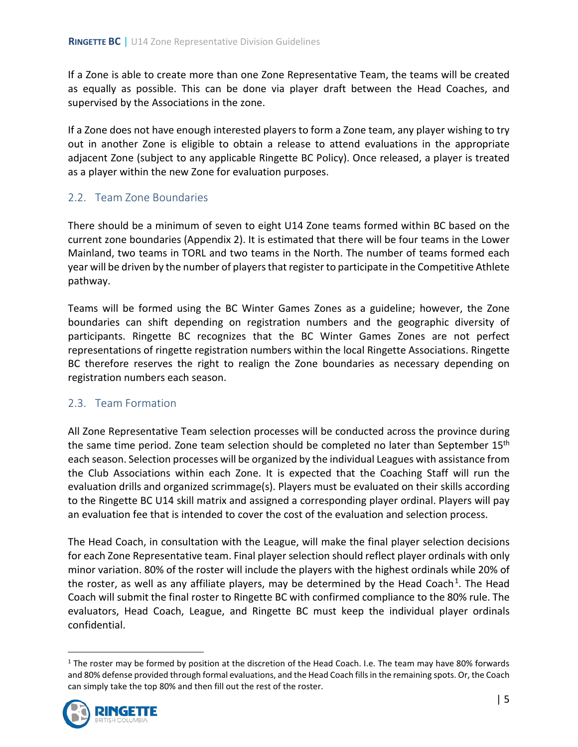If a Zone is able to create more than one Zone Representative Team, the teams will be created as equally as possible. This can be done via player draft between the Head Coaches, and supervised by the Associations in the zone.

If a Zone does not have enough interested players to form a Zone team, any player wishing to try out in another Zone is eligible to obtain a release to attend evaluations in the appropriate adjacent Zone (subject to any applicable Ringette BC Policy). Once released, a player is treated as a player within the new Zone for evaluation purposes.

## 2.2. Team Zone Boundaries

There should be a minimum of seven to eight U14 Zone teams formed within BC based on the current zone boundaries (Appendix 2). It is estimated that there will be four teams in the Lower Mainland, two teams in TORL and two teams in the North. The number of teams formed each year will be driven by the number of players that register to participate in the Competitive Athlete pathway.

Teams will be formed using the BC Winter Games Zones as a guideline; however, the Zone boundaries can shift depending on registration numbers and the geographic diversity of participants. Ringette BC recognizes that the BC Winter Games Zones are not perfect representations of ringette registration numbers within the local Ringette Associations. Ringette BC therefore reserves the right to realign the Zone boundaries as necessary depending on registration numbers each season.

## 2.3. Team Formation

All Zone Representative Team selection processes will be conducted across the province during the same time period. Zone team selection should be completed no later than September 15<sup>th</sup> each season. Selection processes will be organized by the individual Leagues with assistance from the Club Associations within each Zone. It is expected that the Coaching Staff will run the evaluation drills and organized scrimmage(s). Players must be evaluated on their skills according to the Ringette BC U14 skill matrix and assigned a corresponding player ordinal. Players will pay an evaluation fee that is intended to cover the cost of the evaluation and selection process.

The Head Coach, in consultation with the League, will make the final player selection decisions for each Zone Representative team. Final player selection should reflect player ordinals with only minor variation. 80% of the roster will include the players with the highest ordinals while 20% of the roster, as well as any affiliate players, may be determined by the Head Coach<sup>1</sup>. The Head Coach will submit the final roster to Ringette BC with confirmed compliance to the 80% rule. The evaluators, Head Coach, League, and Ringette BC must keep the individual player ordinals confidential.

 $1$  The roster may be formed by position at the discretion of the Head Coach. I.e. The team may have 80% forwards and 80% defense provided through formal evaluations, and the Head Coach fills in the remaining spots. Or, the Coach can simply take the top 80% and then fill out the rest of the roster.

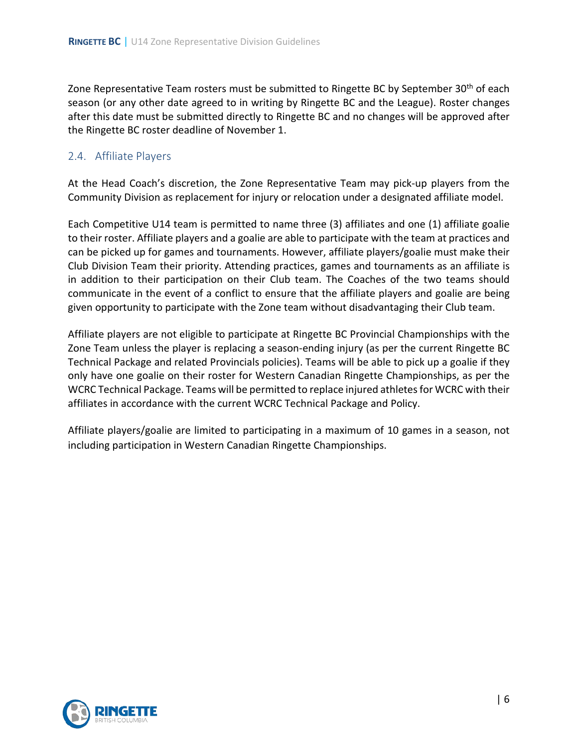Zone Representative Team rosters must be submitted to Ringette BC by September 30<sup>th</sup> of each season (or any other date agreed to in writing by Ringette BC and the League). Roster changes after this date must be submitted directly to Ringette BC and no changes will be approved after the Ringette BC roster deadline of November 1.

#### 2.4. Affiliate Players

At the Head Coach's discretion, the Zone Representative Team may pick-up players from the Community Division as replacement for injury or relocation under a designated affiliate model.

Each Competitive U14 team is permitted to name three (3) affiliates and one (1) affiliate goalie to their roster. Affiliate players and a goalie are able to participate with the team at practices and can be picked up for games and tournaments. However, affiliate players/goalie must make their Club Division Team their priority. Attending practices, games and tournaments as an affiliate is in addition to their participation on their Club team. The Coaches of the two teams should communicate in the event of a conflict to ensure that the affiliate players and goalie are being given opportunity to participate with the Zone team without disadvantaging their Club team.

Affiliate players are not eligible to participate at Ringette BC Provincial Championships with the Zone Team unless the player is replacing a season-ending injury (as per the current Ringette BC Technical Package and related Provincials policies). Teams will be able to pick up a goalie if they only have one goalie on their roster for Western Canadian Ringette Championships, as per the WCRC Technical Package. Teams will be permitted to replace injured athletes for WCRC with their affiliates in accordance with the current WCRC Technical Package and Policy.

Affiliate players/goalie are limited to participating in a maximum of 10 games in a season, not including participation in Western Canadian Ringette Championships.

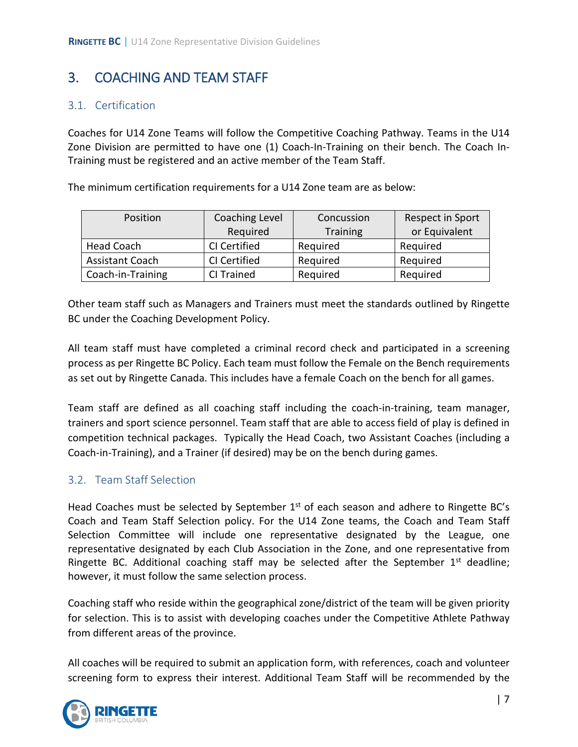## 3. COACHING AND TEAM STAFF

#### 3.1. Certification

Coaches for U14 Zone Teams will follow the Competitive Coaching Pathway. Teams in the U14 Zone Division are permitted to have one (1) Coach-In-Training on their bench. The Coach In-Training must be registered and an active member of the Team Staff.

The minimum certification requirements for a U14 Zone team are as below:

| Position               | Coaching Level | Concussion      | Respect in Sport |  |
|------------------------|----------------|-----------------|------------------|--|
|                        | Required       | <b>Training</b> | or Equivalent    |  |
| <b>Head Coach</b>      | CI Certified   | Required        | Required         |  |
| <b>Assistant Coach</b> | CI Certified   | Required        | Required         |  |
| Coach-in-Training      | CI Trained     | Required        | Required         |  |

Other team staff such as Managers and Trainers must meet the standards outlined by Ringette BC under the Coaching Development Policy.

All team staff must have completed a criminal record check and participated in a screening process as per Ringette BC Policy. Each team must follow the Female on the Bench requirements as set out by Ringette Canada. This includes have a female Coach on the bench for all games.

Team staff are defined as all coaching staff including the coach-in-training, team manager, trainers and sport science personnel. Team staff that are able to access field of play is defined in competition technical packages. Typically the Head Coach, two Assistant Coaches (including a Coach-in-Training), and a Trainer (if desired) may be on the bench during games.

## 3.2. Team Staff Selection

Head Coaches must be selected by September 1<sup>st</sup> of each season and adhere to Ringette BC's Coach and Team Staff Selection policy. For the U14 Zone teams, the Coach and Team Staff Selection Committee will include one representative designated by the League, one representative designated by each Club Association in the Zone, and one representative from Ringette BC. Additional coaching staff may be selected after the September  $1<sup>st</sup>$  deadline; however, it must follow the same selection process.

Coaching staff who reside within the geographical zone/district of the team will be given priority for selection. This is to assist with developing coaches under the Competitive Athlete Pathway from different areas of the province.

All coaches will be required to submit an application form, with references, coach and volunteer screening form to express their interest. Additional Team Staff will be recommended by the

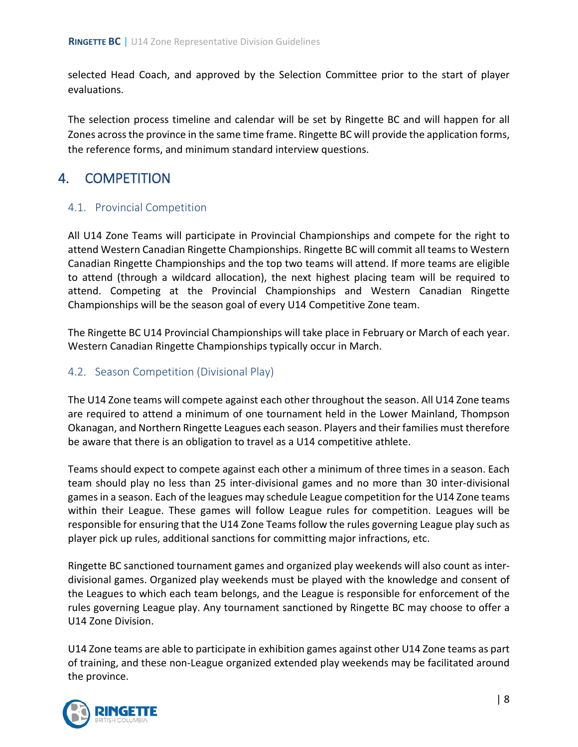selected Head Coach, and approved by the Selection Committee prior to the start of player evaluations.

The selection process timeline and calendar will be set by Ringette BC and will happen for all Zones across the province in the same time frame. Ringette BC will provide the application forms, the reference forms, and minimum standard interview questions.

## 4. COMPETITION

## 4.1. Provincial Competition

All U14 Zone Teams will participate in Provincial Championships and compete for the right to attend Western Canadian Ringette Championships. Ringette BC will commit all teams to Western Canadian Ringette Championships and the top two teams will attend. If more teams are eligible to attend (through a wildcard allocation), the next highest placing team will be required to attend. Competing at the Provincial Championships and Western Canadian Ringette Championships will be the season goal of every U14 Competitive Zone team.

The Ringette BC U14 Provincial Championships will take place in February or March of each year. Western Canadian Ringette Championships typically occur in March.

#### 4.2. Season Competition (Divisional Play)

The U14 Zone teams will compete against each other throughout the season. All U14 Zone teams are required to attend a minimum of one tournament held in the Lower Mainland, Thompson Okanagan, and Northern Ringette Leagues each season. Players and their families must therefore be aware that there is an obligation to travel as a U14 competitive athlete.

Teams should expect to compete against each other a minimum of three times in a season. Each team should play no less than 25 inter-divisional games and no more than 30 inter-divisional games in a season. Each of the leagues may schedule League competition for the U14 Zone teams within their League. These games will follow League rules for competition. Leagues will be responsible for ensuring that the U14 Zone Teams follow the rules governing League play such as player pick up rules, additional sanctions for committing major infractions, etc.

Ringette BC sanctioned tournament games and organized play weekends will also count as interdivisional games. Organized play weekends must be played with the knowledge and consent of the Leagues to which each team belongs, and the League is responsible for enforcement of the rules governing League play. Any tournament sanctioned by Ringette BC may choose to offer a U14 Zone Division.

U14 Zone teams are able to participate in exhibition games against other U14 Zone teams as part of training, and these non-League organized extended play weekends may be facilitated around the province.

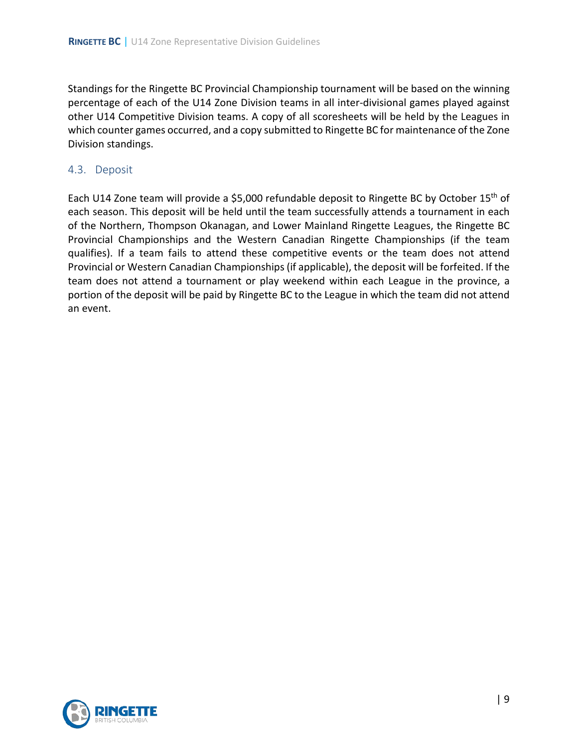Standings for the Ringette BC Provincial Championship tournament will be based on the winning percentage of each of the U14 Zone Division teams in all inter-divisional games played against other U14 Competitive Division teams. A copy of all scoresheets will be held by the Leagues in which counter games occurred, and a copy submitted to Ringette BC for maintenance of the Zone Division standings.

#### 4.3. Deposit

Each U14 Zone team will provide a \$5,000 refundable deposit to Ringette BC by October 15<sup>th</sup> of each season. This deposit will be held until the team successfully attends a tournament in each of the Northern, Thompson Okanagan, and Lower Mainland Ringette Leagues, the Ringette BC Provincial Championships and the Western Canadian Ringette Championships (if the team qualifies). If a team fails to attend these competitive events or the team does not attend Provincial or Western Canadian Championships (if applicable), the deposit will be forfeited. If the team does not attend a tournament or play weekend within each League in the province, a portion of the deposit will be paid by Ringette BC to the League in which the team did not attend an event.

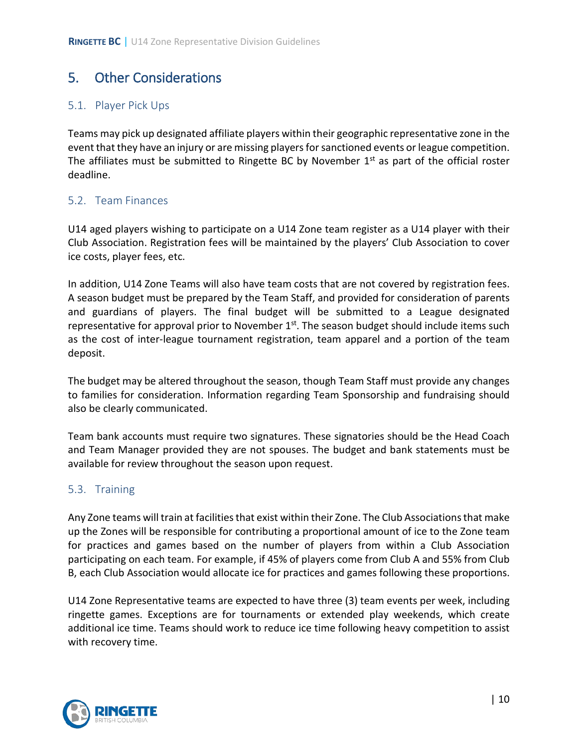## 5. Other Considerations

## 5.1. Player Pick Ups

Teams may pick up designated affiliate players within their geographic representative zone in the event that they have an injury or are missing players for sanctioned events or league competition. The affiliates must be submitted to Ringette BC by November  $1<sup>st</sup>$  as part of the official roster deadline.

## 5.2. Team Finances

U14 aged players wishing to participate on a U14 Zone team register as a U14 player with their Club Association. Registration fees will be maintained by the players' Club Association to cover ice costs, player fees, etc.

In addition, U14 Zone Teams will also have team costs that are not covered by registration fees. A season budget must be prepared by the Team Staff, and provided for consideration of parents and guardians of players. The final budget will be submitted to a League designated representative for approval prior to November  $1<sup>st</sup>$ . The season budget should include items such as the cost of inter-league tournament registration, team apparel and a portion of the team deposit.

The budget may be altered throughout the season, though Team Staff must provide any changes to families for consideration. Information regarding Team Sponsorship and fundraising should also be clearly communicated.

Team bank accounts must require two signatures. These signatories should be the Head Coach and Team Manager provided they are not spouses. The budget and bank statements must be available for review throughout the season upon request.

## 5.3. Training

Any Zone teams will train at facilities that exist within their Zone. The Club Associations that make up the Zones will be responsible for contributing a proportional amount of ice to the Zone team for practices and games based on the number of players from within a Club Association participating on each team. For example, if 45% of players come from Club A and 55% from Club B, each Club Association would allocate ice for practices and games following these proportions.

U14 Zone Representative teams are expected to have three (3) team events per week, including ringette games. Exceptions are for tournaments or extended play weekends, which create additional ice time. Teams should work to reduce ice time following heavy competition to assist with recovery time.

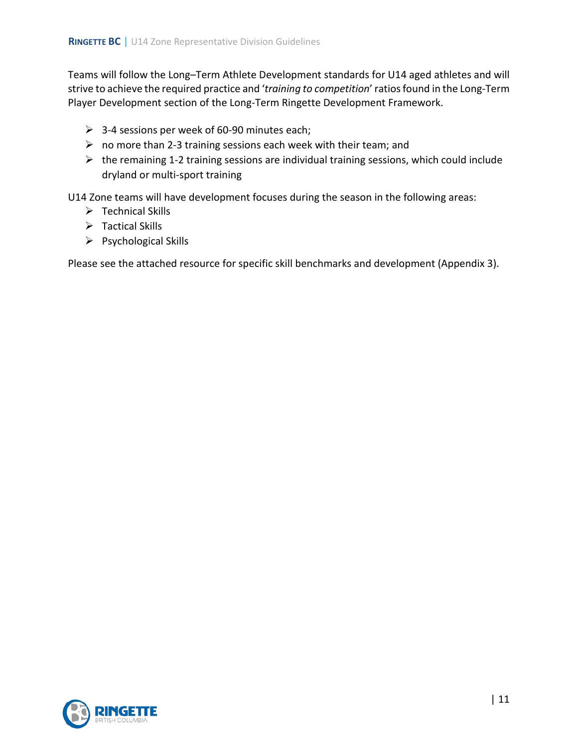Teams will follow the Long–Term Athlete Development standards for U14 aged athletes and will strive to achieve the required practice and '*training to competition*' ratios found in the Long-Term Player Development section of the Long-Term Ringette Development Framework.

- $\geq$  3-4 sessions per week of 60-90 minutes each;
- $\triangleright$  no more than 2-3 training sessions each week with their team; and
- $\triangleright$  the remaining 1-2 training sessions are individual training sessions, which could include dryland or multi-sport training

U14 Zone teams will have development focuses during the season in the following areas:

- $\triangleright$  Technical Skills
- $\triangleright$  Tactical Skills
- $\triangleright$  Psychological Skills

Please see the attached resource for specific skill benchmarks and development (Appendix 3).

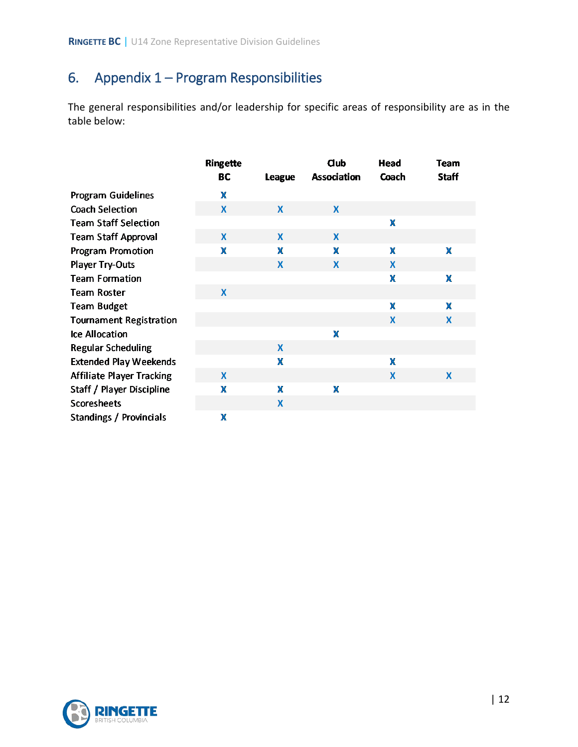## 6. Appendix 1 – Program Responsibilities

The general responsibilities and/or leadership for specific areas of responsibility are as in the table below:

|                                  | <b>Ringette</b><br>BC     | <b>League</b> | Club<br><b>Association</b> | Head<br>Coach           | Team<br><b>Staff</b>      |
|----------------------------------|---------------------------|---------------|----------------------------|-------------------------|---------------------------|
| <b>Program Guidelines</b>        | $\boldsymbol{\mathsf{X}}$ |               |                            |                         |                           |
| <b>Coach Selection</b>           | X                         | X             | $\mathbf x$                |                         |                           |
| <b>Team Staff Selection</b>      |                           |               |                            | X                       |                           |
| <b>Team Staff Approval</b>       | X                         | X             | $\boldsymbol{\mathsf{X}}$  |                         |                           |
| Program Promotion                | X                         | X             | X                          | X                       | X                         |
| <b>Player Try-Outs</b>           |                           | X             | X                          | X                       |                           |
| <b>Team Formation</b>            |                           |               |                            | X                       | $\boldsymbol{\mathsf{X}}$ |
| <b>Team Roster</b>               | $\boldsymbol{X}$          |               |                            |                         |                           |
| <b>Team Budget</b>               |                           |               |                            | X                       | $\boldsymbol{\mathsf{x}}$ |
| <b>Tournament Registration</b>   |                           |               |                            | $\boldsymbol{X}$        | X                         |
| Ice Allocation                   |                           |               | $\mathbb{X}$               |                         |                           |
| <b>Regular Scheduling</b>        |                           | X             |                            |                         |                           |
| <b>Extended Play Weekends</b>    |                           | X             |                            | X                       |                           |
| <b>Affiliate Player Tracking</b> | X                         |               |                            | $\overline{\mathsf{X}}$ | X                         |
| Staff / Player Discipline        | X                         | X             | Ж                          |                         |                           |
| <b>Scoresheets</b>               |                           | X             |                            |                         |                           |
| <b>Standings / Provincials</b>   | $\boldsymbol{\mathsf{X}}$ |               |                            |                         |                           |

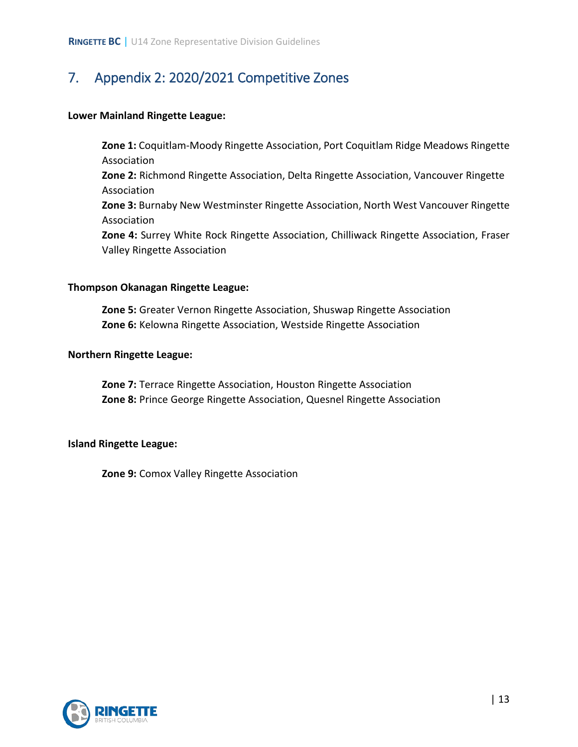## 7. Appendix 2: 2020/2021 Competitive Zones

#### **Lower Mainland Ringette League:**

**Zone 1:** Coquitlam-Moody Ringette Association, Port Coquitlam Ridge Meadows Ringette Association **Zone 2:** Richmond Ringette Association, Delta Ringette Association, Vancouver Ringette Association **Zone 3:** Burnaby New Westminster Ringette Association, North West Vancouver Ringette Association **Zone 4:** Surrey White Rock Ringette Association, Chilliwack Ringette Association, Fraser Valley Ringette Association

#### **Thompson Okanagan Ringette League:**

**Zone 5:** Greater Vernon Ringette Association, Shuswap Ringette Association **Zone 6:** Kelowna Ringette Association, Westside Ringette Association

#### **Northern Ringette League:**

**Zone 7:** Terrace Ringette Association, Houston Ringette Association **Zone 8:** Prince George Ringette Association, Quesnel Ringette Association

#### **Island Ringette League:**

**Zone 9:** Comox Valley Ringette Association

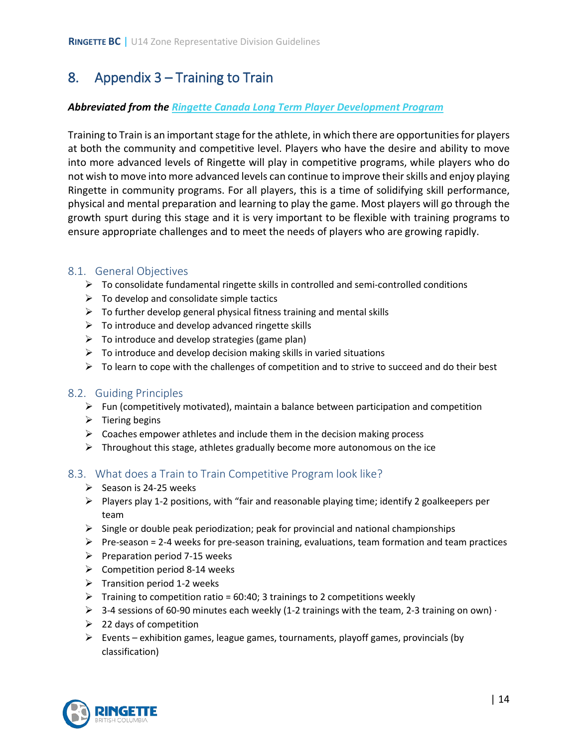## 8. Appendix 3 – Training to Train

#### *Abbreviated from the [Ringette Canada Long Term Player Development Program](http://ltrd.ringette.ca/wp-content/uploads/2015/09/Ringette_mag_EN_WEBversion.pdf)*

Training to Train is an important stage for the athlete, in which there are opportunities for players at both the community and competitive level. Players who have the desire and ability to move into more advanced levels of Ringette will play in competitive programs, while players who do not wish to move into more advanced levels can continue to improve their skills and enjoy playing Ringette in community programs. For all players, this is a time of solidifying skill performance, physical and mental preparation and learning to play the game. Most players will go through the growth spurt during this stage and it is very important to be flexible with training programs to ensure appropriate challenges and to meet the needs of players who are growing rapidly.

#### 8.1. General Objectives

- $\triangleright$  To consolidate fundamental ringette skills in controlled and semi-controlled conditions
- $\triangleright$  To develop and consolidate simple tactics
- $\triangleright$  To further develop general physical fitness training and mental skills
- $\triangleright$  To introduce and develop advanced ringette skills
- $\triangleright$  To introduce and develop strategies (game plan)
- $\triangleright$  To introduce and develop decision making skills in varied situations
- $\triangleright$  To learn to cope with the challenges of competition and to strive to succeed and do their best

#### 8.2. Guiding Principles

- $\triangleright$  Fun (competitively motivated), maintain a balance between participation and competition
- $\triangleright$  Tiering begins
- $\triangleright$  Coaches empower athletes and include them in the decision making process
- $\triangleright$  Throughout this stage, athletes gradually become more autonomous on the ice

#### 8.3. What does a Train to Train Competitive Program look like?

- $\triangleright$  Season is 24-25 weeks
- $\triangleright$  Players play 1-2 positions, with "fair and reasonable playing time; identify 2 goalkeepers per team
- $\triangleright$  Single or double peak periodization; peak for provincial and national championships
- $\triangleright$  Pre-season = 2-4 weeks for pre-season training, evaluations, team formation and team practices
- $\triangleright$  Preparation period 7-15 weeks
- $\triangleright$  Competition period 8-14 weeks
- $\triangleright$  Transition period 1-2 weeks
- $\triangleright$  Training to competition ratio = 60:40; 3 trainings to 2 competitions weekly
- $\triangleright$  3-4 sessions of 60-90 minutes each weekly (1-2 trainings with the team, 2-3 training on own)  $\cdot$
- $\geq$  22 days of competition
- $\triangleright$  Events exhibition games, league games, tournaments, playoff games, provincials (by classification)

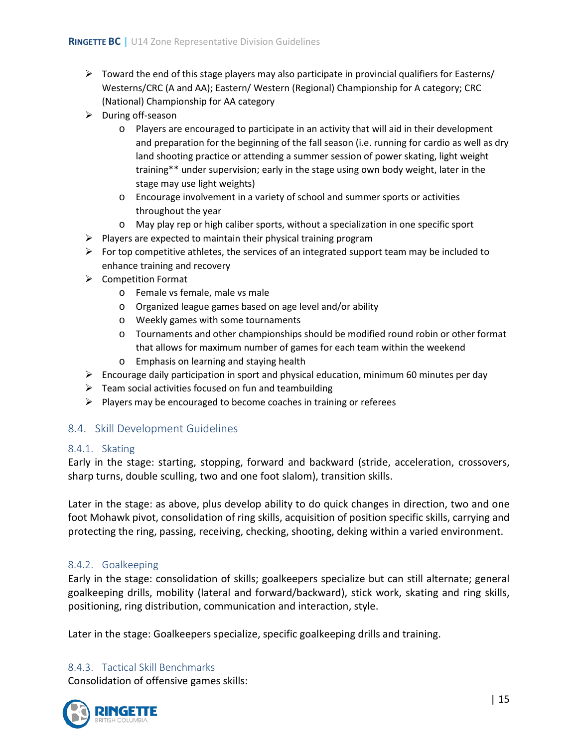- $\triangleright$  Toward the end of this stage players may also participate in provincial qualifiers for Easterns/ Westerns/CRC (A and AA); Eastern/ Western (Regional) Championship for A category; CRC (National) Championship for AA category
- $\triangleright$  During off-season
	- o Players are encouraged to participate in an activity that will aid in their development and preparation for the beginning of the fall season (i.e. running for cardio as well as dry land shooting practice or attending a summer session of power skating, light weight training\*\* under supervision; early in the stage using own body weight, later in the stage may use light weights)
	- o Encourage involvement in a variety of school and summer sports or activities throughout the year
	- o May play rep or high caliber sports, without a specialization in one specific sport
- $\triangleright$  Players are expected to maintain their physical training program
- $\triangleright$  For top competitive athletes, the services of an integrated support team may be included to enhance training and recovery
- $\triangleright$  Competition Format
	- o Female vs female, male vs male
	- o Organized league games based on age level and/or ability
	- o Weekly games with some tournaments
	- o Tournaments and other championships should be modified round robin or other format that allows for maximum number of games for each team within the weekend
	- o Emphasis on learning and staying health
- $\triangleright$  Encourage daily participation in sport and physical education, minimum 60 minutes per day
- $\triangleright$  Team social activities focused on fun and teambuilding
- $\triangleright$  Players may be encouraged to become coaches in training or referees

#### 8.4. Skill Development Guidelines

#### 8.4.1. Skating

Early in the stage: starting, stopping, forward and backward (stride, acceleration, crossovers, sharp turns, double sculling, two and one foot slalom), transition skills.

Later in the stage: as above, plus develop ability to do quick changes in direction, two and one foot Mohawk pivot, consolidation of ring skills, acquisition of position specific skills, carrying and protecting the ring, passing, receiving, checking, shooting, deking within a varied environment.

#### 8.4.2. Goalkeeping

Early in the stage: consolidation of skills; goalkeepers specialize but can still alternate; general goalkeeping drills, mobility (lateral and forward/backward), stick work, skating and ring skills, positioning, ring distribution, communication and interaction, style.

Later in the stage: Goalkeepers specialize, specific goalkeeping drills and training.

#### 8.4.3. Tactical Skill Benchmarks

Consolidation of offensive games skills:

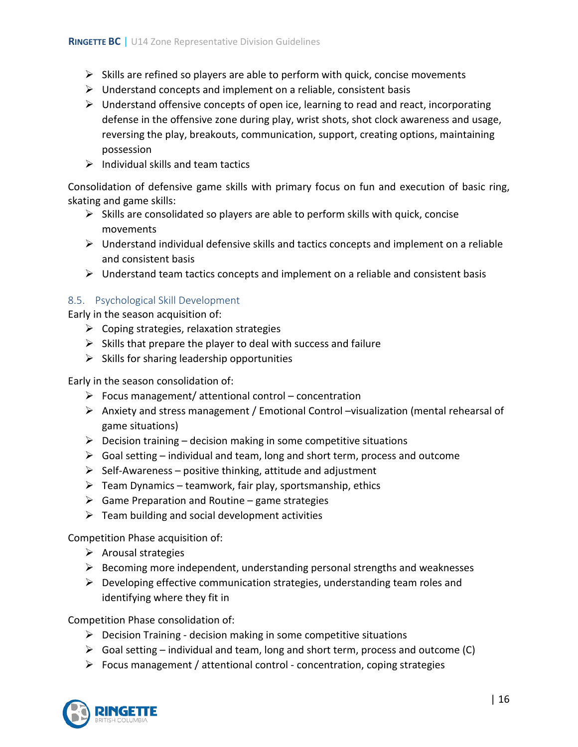- $\triangleright$  Skills are refined so players are able to perform with quick, concise movements
- $\triangleright$  Understand concepts and implement on a reliable, consistent basis
- $\triangleright$  Understand offensive concepts of open ice, learning to read and react, incorporating defense in the offensive zone during play, wrist shots, shot clock awareness and usage, reversing the play, breakouts, communication, support, creating options, maintaining possession
- $\triangleright$  Individual skills and team tactics

Consolidation of defensive game skills with primary focus on fun and execution of basic ring, skating and game skills:

- $\triangleright$  Skills are consolidated so players are able to perform skills with quick, concise movements
- $\triangleright$  Understand individual defensive skills and tactics concepts and implement on a reliable and consistent basis
- $\triangleright$  Understand team tactics concepts and implement on a reliable and consistent basis

## 8.5. Psychological Skill Development

Early in the season acquisition of:

- $\triangleright$  Coping strategies, relaxation strategies
- $\triangleright$  Skills that prepare the player to deal with success and failure
- $\triangleright$  Skills for sharing leadership opportunities

Early in the season consolidation of:

- $\triangleright$  Focus management/ attentional control concentration
- Anxiety and stress management / Emotional Control –visualization (mental rehearsal of game situations)
- $\triangleright$  Decision training decision making in some competitive situations
- $\triangleright$  Goal setting individual and team, long and short term, process and outcome
- $\triangleright$  Self-Awareness positive thinking, attitude and adjustment
- $\triangleright$  Team Dynamics teamwork, fair play, sportsmanship, ethics
- $\triangleright$  Game Preparation and Routine game strategies
- $\triangleright$  Team building and social development activities

Competition Phase acquisition of:

- $\triangleright$  Arousal strategies
- $\triangleright$  Becoming more independent, understanding personal strengths and weaknesses
- $\triangleright$  Developing effective communication strategies, understanding team roles and identifying where they fit in

Competition Phase consolidation of:

- $\triangleright$  Decision Training decision making in some competitive situations
- $\triangleright$  Goal setting individual and team, long and short term, process and outcome (C)
- $\triangleright$  Focus management / attentional control concentration, coping strategies